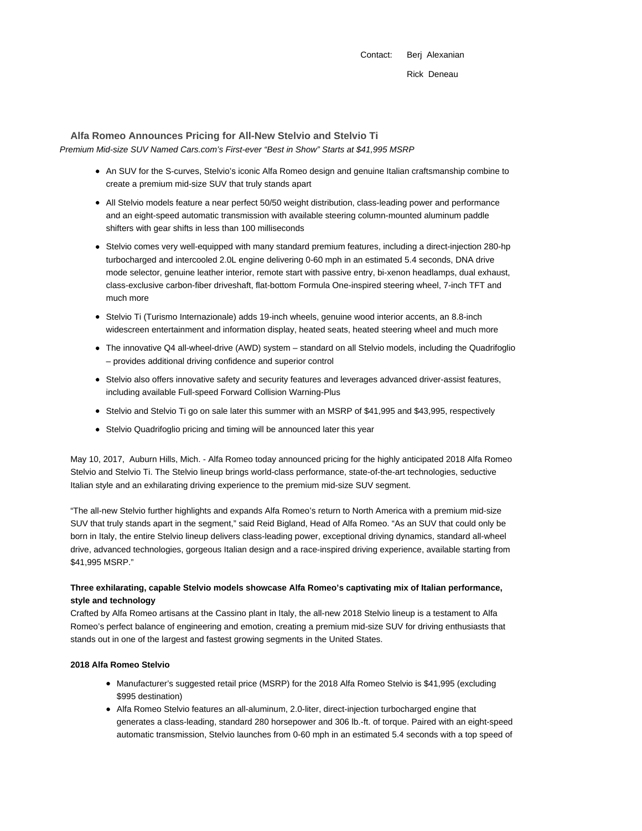Contact: Berj Alexanian Rick Deneau

# **Alfa Romeo Announces Pricing for All-New Stelvio and Stelvio Ti**

Premium Mid-size SUV Named Cars.com's First-ever "Best in Show" Starts at \$41,995 MSRP

- An SUV for the S-curves, Stelvio's iconic Alfa Romeo design and genuine Italian craftsmanship combine to create a premium mid-size SUV that truly stands apart
- All Stelvio models feature a near perfect 50/50 weight distribution, class-leading power and performance and an eight-speed automatic transmission with available steering column-mounted aluminum paddle shifters with gear shifts in less than 100 milliseconds
- Stelvio comes very well-equipped with many standard premium features, including a direct-injection 280-hp turbocharged and intercooled 2.0L engine delivering 0-60 mph in an estimated 5.4 seconds, DNA drive mode selector, genuine leather interior, remote start with passive entry, bi-xenon headlamps, dual exhaust, class-exclusive carbon-fiber driveshaft, flat-bottom Formula One-inspired steering wheel, 7-inch TFT and much more
- Stelvio Ti (Turismo Internazionale) adds 19-inch wheels, genuine wood interior accents, an 8.8-inch widescreen entertainment and information display, heated seats, heated steering wheel and much more
- The innovative Q4 all-wheel-drive (AWD) system standard on all Stelvio models, including the Quadrifoglio – provides additional driving confidence and superior control
- Stelvio also offers innovative safety and security features and leverages advanced driver-assist features, including available Full-speed Forward Collision Warning-Plus
- Stelvio and Stelvio Ti go on sale later this summer with an MSRP of \$41,995 and \$43,995, respectively
- Stelvio Quadrifoglio pricing and timing will be announced later this year

May 10, 2017, Auburn Hills, Mich. - Alfa Romeo today announced pricing for the highly anticipated 2018 Alfa Romeo Stelvio and Stelvio Ti. The Stelvio lineup brings world-class performance, state-of-the-art technologies, seductive Italian style and an exhilarating driving experience to the premium mid-size SUV segment.

"The all-new Stelvio further highlights and expands Alfa Romeo's return to North America with a premium mid-size SUV that truly stands apart in the segment," said Reid Bigland, Head of Alfa Romeo. "As an SUV that could only be born in Italy, the entire Stelvio lineup delivers class-leading power, exceptional driving dynamics, standard all-wheel drive, advanced technologies, gorgeous Italian design and a race-inspired driving experience, available starting from \$41,995 MSRP."

## **Three exhilarating, capable Stelvio models showcase Alfa Romeo's captivating mix of Italian performance, style and technology**

Crafted by Alfa Romeo artisans at the Cassino plant in Italy, the all-new 2018 Stelvio lineup is a testament to Alfa Romeo's perfect balance of engineering and emotion, creating a premium mid-size SUV for driving enthusiasts that stands out in one of the largest and fastest growing segments in the United States.

## **2018 Alfa Romeo Stelvio**

- Manufacturer's suggested retail price (MSRP) for the 2018 Alfa Romeo Stelvio is \$41,995 (excluding \$995 destination)
- Alfa Romeo Stelvio features an all-aluminum, 2.0-liter, direct-injection turbocharged engine that generates a class-leading, standard 280 horsepower and 306 lb.-ft. of torque. Paired with an eight-speed automatic transmission, Stelvio launches from 0-60 mph in an estimated 5.4 seconds with a top speed of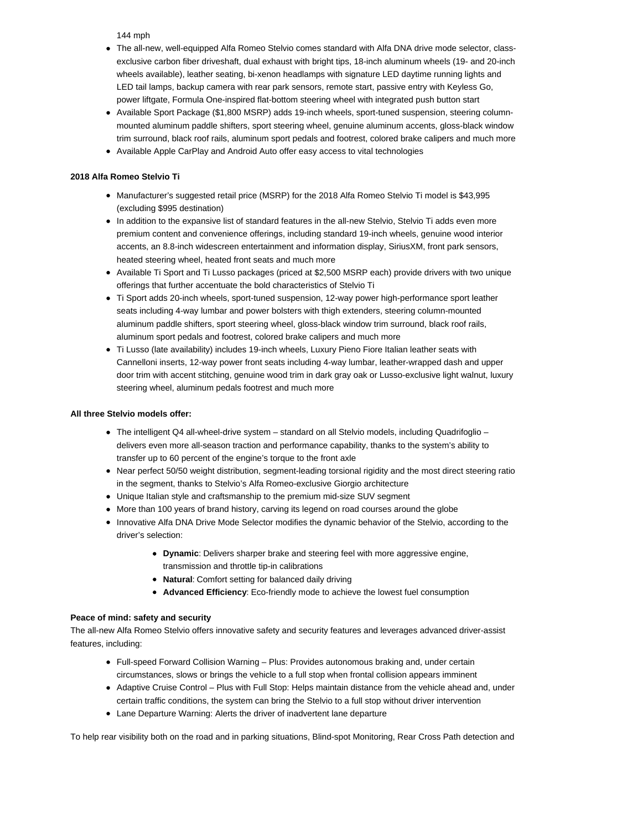144 mph

- The all-new, well-equipped Alfa Romeo Stelvio comes standard with Alfa DNA drive mode selector, classexclusive carbon fiber driveshaft, dual exhaust with bright tips, 18-inch aluminum wheels (19- and 20-inch wheels available), leather seating, bi-xenon headlamps with signature LED daytime running lights and LED tail lamps, backup camera with rear park sensors, remote start, passive entry with Keyless Go, power liftgate, Formula One-inspired flat-bottom steering wheel with integrated push button start
- Available Sport Package (\$1,800 MSRP) adds 19-inch wheels, sport-tuned suspension, steering columnmounted aluminum paddle shifters, sport steering wheel, genuine aluminum accents, gloss-black window trim surround, black roof rails, aluminum sport pedals and footrest, colored brake calipers and much more
- Available Apple CarPlay and Android Auto offer easy access to vital technologies

## **2018 Alfa Romeo Stelvio Ti**

- Manufacturer's suggested retail price (MSRP) for the 2018 Alfa Romeo Stelvio Ti model is \$43,995 (excluding \$995 destination)
- In addition to the expansive list of standard features in the all-new Stelvio, Stelvio Ti adds even more premium content and convenience offerings, including standard 19-inch wheels, genuine wood interior accents, an 8.8-inch widescreen entertainment and information display, SiriusXM, front park sensors, heated steering wheel, heated front seats and much more
- Available Ti Sport and Ti Lusso packages (priced at \$2,500 MSRP each) provide drivers with two unique offerings that further accentuate the bold characteristics of Stelvio Ti
- Ti Sport adds 20-inch wheels, sport-tuned suspension, 12-way power high-performance sport leather seats including 4-way lumbar and power bolsters with thigh extenders, steering column-mounted aluminum paddle shifters, sport steering wheel, gloss-black window trim surround, black roof rails, aluminum sport pedals and footrest, colored brake calipers and much more
- Ti Lusso (late availability) includes 19-inch wheels, Luxury Pieno Fiore Italian leather seats with Cannelloni inserts, 12-way power front seats including 4-way lumbar, leather-wrapped dash and upper door trim with accent stitching, genuine wood trim in dark gray oak or Lusso-exclusive light walnut, luxury steering wheel, aluminum pedals footrest and much more

### **All three Stelvio models offer:**

- The intelligent Q4 all-wheel-drive system standard on all Stelvio models, including Quadrifoglio delivers even more all-season traction and performance capability, thanks to the system's ability to transfer up to 60 percent of the engine's torque to the front axle
- Near perfect 50/50 weight distribution, segment-leading torsional rigidity and the most direct steering ratio in the segment, thanks to Stelvio's Alfa Romeo-exclusive Giorgio architecture
- Unique Italian style and craftsmanship to the premium mid-size SUV segment
- More than 100 years of brand history, carving its legend on road courses around the globe
- Innovative Alfa DNA Drive Mode Selector modifies the dynamic behavior of the Stelvio, according to the driver's selection:
	- **Dynamic**: Delivers sharper brake and steering feel with more aggressive engine, transmission and throttle tip-in calibrations
	- **Natural**: Comfort setting for balanced daily driving
	- **Advanced Efficiency**: Eco-friendly mode to achieve the lowest fuel consumption

### **Peace of mind: safety and security**

The all-new Alfa Romeo Stelvio offers innovative safety and security features and leverages advanced driver-assist features, including:

- Full-speed Forward Collision Warning Plus: Provides autonomous braking and, under certain circumstances, slows or brings the vehicle to a full stop when frontal collision appears imminent
- Adaptive Cruise Control Plus with Full Stop: Helps maintain distance from the vehicle ahead and, under certain traffic conditions, the system can bring the Stelvio to a full stop without driver intervention
- Lane Departure Warning: Alerts the driver of inadvertent lane departure

To help rear visibility both on the road and in parking situations, Blind-spot Monitoring, Rear Cross Path detection and